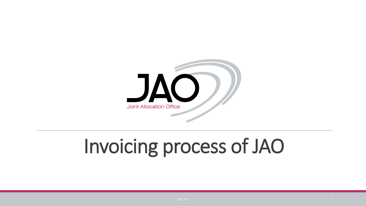

# Invoicing process of JAO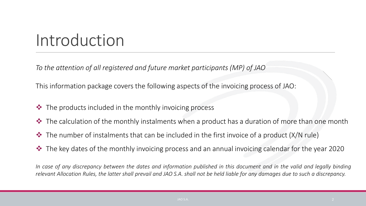## Introduction

*To the attention of all registered and future market participants (MP) of JAO*

This information package covers the following aspects of the invoicing process of JAO:

- $\cdot \cdot$  The products included in the monthly invoicing process
- $\cdot \cdot$  The calculation of the monthly instalments when a product has a duration of more than one month
- $\cdot \cdot$  The number of instalments that can be included in the first invoice of a product (X/N rule)
- ◆ The key dates of the monthly invoicing process and an annual invoicing calendar for the year 2020

In case of any discrepancy between the dates and information published in this document and in the valid and legally binding relevant Allocation Rules, the latter shall prevail and JAO S.A. shall not be held liable for any damages due to such a discrepancy.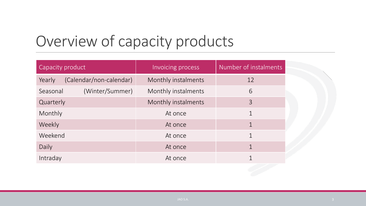#### Overview of capacity products

| Capacity product                  | Invoicing process   | Number of instalments |  |
|-----------------------------------|---------------------|-----------------------|--|
| (Calendar/non-calendar)<br>Yearly | Monthly instalments | 12                    |  |
| (Winter/Summer)<br>Seasonal       | Monthly instalments | 6                     |  |
| Quarterly                         | Monthly instalments | 3                     |  |
| Monthly                           | At once             |                       |  |
| Weekly                            | At once             | $\mathbf 1$           |  |
| Weekend                           | At once             | $\mathbf 1$           |  |
| Daily                             | At once             |                       |  |
| Intraday                          | At once             |                       |  |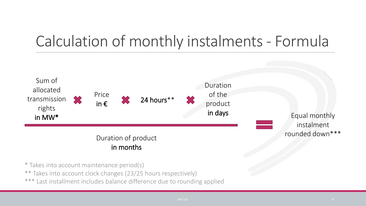#### Calculation of monthly instalments - Formula



\* Takes into account maintenance period(s)

\*\* Takes into account clock changes (23/25 hours respectively)

\*\*\* Last installment includes balance difference due to rounding applied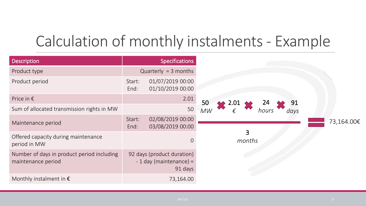#### Calculation of monthly instalments - Example

| <b>Description</b>                                               | <b>Specifications</b>                                             |                          |            |
|------------------------------------------------------------------|-------------------------------------------------------------------|--------------------------|------------|
| Product type                                                     | Quarterly = $3$ months                                            |                          |            |
| Product period                                                   | 01/07/2019 00:00<br>Start:<br>01/10/2019 00:00<br>End:            |                          |            |
| Price in $\epsilon$                                              | 2.01                                                              | 50<br>2.01<br>91         |            |
| Sum of allocated transmission rights in MW                       | 50                                                                | $M$ W<br>days            |            |
| Maintenance period                                               | 02/08/2019 00:00<br>Start:<br>03/08/2019 00:00<br>End:            |                          | 73,164.00€ |
| Offered capacity during maintenance<br>period in MW              | $\overline{0}$                                                    | $\overline{3}$<br>months |            |
| Number of days in product period including<br>maintenance period | 92 days (product duration)<br>$-1$ day (maintenance) =<br>91 days |                          |            |
| Monthly instalment in $\epsilon$                                 | 73,164.00                                                         |                          |            |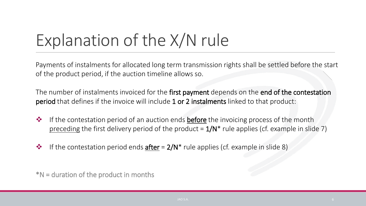# Explanation of the X/N rule

Payments of instalments for allocated long term transmission rights shall be settled before the start of the product period, if the auction timeline allows so.

The number of instalments invoiced for the first payment depends on the end of the contestation period that defines if the invoice will include 1 or 2 instalments linked to that product:

- **\*** If the contestation period of an auction ends **before** the invoicing process of the month preceding the first delivery period of the product =  $1/N^*$  rule applies (cf. example in slide 7)
- $\cdot \cdot$  If the contestation period ends **after** = 2/N<sup>\*</sup> rule applies (cf. example in slide 8)

\*N = duration of the product in months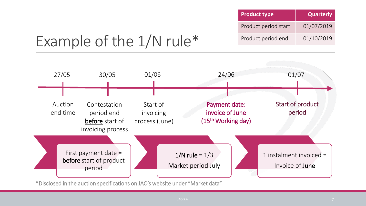| <b>Product type</b>  | <b>Quarterly</b> |
|----------------------|------------------|
| Product period start | 01/07/2019       |
| Product period end   | 01/10/2019       |

#### Example of the 1/N rule\*



\*Disclosed in the auction specifications on JAO's website under "Market data"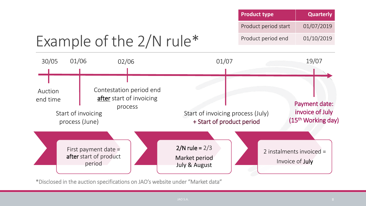|                     |                                                                                                               | <b>Product type</b>                                             | <b>Quarterly</b>     |                                                        |
|---------------------|---------------------------------------------------------------------------------------------------------------|-----------------------------------------------------------------|----------------------|--------------------------------------------------------|
|                     |                                                                                                               |                                                                 | Product period start | 01/07/2019                                             |
|                     | Example of the $2/N$ rule*                                                                                    | Product period end                                              | 01/10/2019           |                                                        |
| 01/06<br>30/05      | 02/06                                                                                                         | 01/07                                                           |                      | 19/07                                                  |
| Auction<br>end time | Contestation period end<br><b>after</b> start of invoicing<br>process<br>Start of invoicing<br>process (June) | Start of invoicing process (July)<br>+ Start of product period  |                      | Payment date:<br>invoice of July<br>(15th Working day) |
|                     | First payment date $=$<br>after start of product<br>period                                                    | $2/N$ rule = $2/3$<br>Market period<br><b>July &amp; August</b> |                      | 2 instalments invoiced $=$<br>Invoice of <b>July</b>   |

\*Disclosed in the auction specifications on JAO's website under "Market data"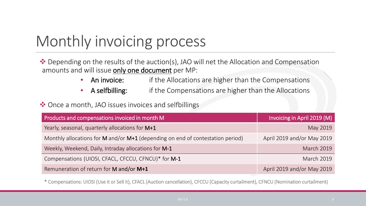#### Monthly invoicing process

◆ Depending on the results of the auction(s), JAO will net the Allocation and Compensation amounts and will issue only one document per MP:

- An invoice: if the Allocations are higher than the Compensations
- A selfbilling: if the Compensations are higher than the Allocations

◆ Once a month, JAO issues invoices and selfbillings

| Products and compensations invoiced in month M                                 | Invoicing in April 2019 (M) |
|--------------------------------------------------------------------------------|-----------------------------|
| Yearly, seasonal, quarterly allocations for M+1                                | May 2019                    |
| Monthly allocations for M and/or M+1 (depending on end of contestation period) | April 2019 and/or May 2019  |
| Weekly, Weekend, Daily, Intraday allocations for M-1                           | <b>March 2019</b>           |
| Compensations (UIOSI, CFACL, CFCCU, CFNCU)* for M-1                            | <b>March 2019</b>           |
| Remuneration of return for M and/or M+1                                        | April 2019 and/or May 2019  |

\* Compensations: UIOSI (Use it or Sell it), CFACL (Auction cancellation), CFCCU (Capacity curtailment), CFNCU (Nomination curtailment)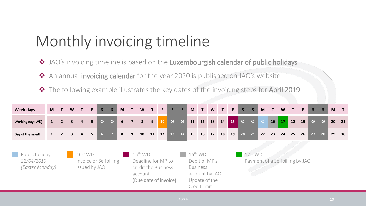#### Monthly invoicing timeline

- JAO's invoicing timeline is based on the Luxembourgish calendar of public holidays
- ◆ An annual invoicing calendar for the year 2020 is published on JAO's website
- ◆ The following example illustrates the key dates of the invoicing steps for April 2019

| <b>Week days</b>                                                                                                                                                                                                          | <b>M</b>     | $\mathsf{T}$   | W                       |                | F           | $\mathsf{S}$   | S       | M              | $\mathbf{T}$                                                                         | W  | $\mathbf{T}$ | F  | S       | $\mathsf{S}$ | M                               | $\mathsf{T}$ | W  | 4T | F. | S       | $\mathsf{S}$ | M       | T  | W  | AT        | F  | S       | $\mathsf{S}$   | M  |    |
|---------------------------------------------------------------------------------------------------------------------------------------------------------------------------------------------------------------------------|--------------|----------------|-------------------------|----------------|-------------|----------------|---------|----------------|--------------------------------------------------------------------------------------|----|--------------|----|---------|--------------|---------------------------------|--------------|----|----|----|---------|--------------|---------|----|----|-----------|----|---------|----------------|----|----|
| Working day (WD)                                                                                                                                                                                                          | $\mathbf{1}$ | 2 <sup>1</sup> | $\overline{3}$          | $\overline{a}$ | 5           | $\circ$        | $\circ$ | $6\phantom{1}$ | 7 <sup>7</sup>                                                                       | 8  | 9            | 10 | $\circ$ | $\circ$      | 11                              | 12           | 13 | 14 | 15 | $\circ$ | $\circ$      | $\circ$ | 16 | 17 | <b>18</b> | 19 | $\circ$ | $\overline{Q}$ | 20 | 21 |
| Day of the month                                                                                                                                                                                                          |              | $\overline{2}$ | $\overline{\mathbf{3}}$ | $\overline{4}$ | $5^{\circ}$ | 6 <sup>1</sup> | 77      | 8              | 9                                                                                    | 10 | 11           | 12 | 13 14   |              | 15                              | 16           | 17 | 18 | 19 | 20      | 21           | 22      | 23 | 24 | 25        | 26 | 27/     | 28             | 29 | 30 |
| $10^{\text{th}}$ WD<br>Public holiday<br>$15^{\text{th}}$ WD<br>22/04/2019<br>Invoice or Selfbilling<br>Deadline for MP to<br>(Easter Monday)<br>issued by JAO<br>credit the Business<br>account<br>(Due date of invoice) |              |                |                         |                |             |                |         |                | $16th$ WD<br>Debit of MP's<br><b>Business</b><br>$account by JAO +$<br>Update of the |    |              |    |         | $17th$ WD    | Payment of a Selfbilling by JAO |              |    |    |    |         |              |         |    |    |           |    |         |                |    |    |

Credit limit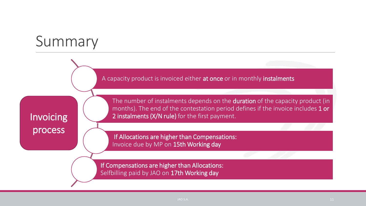#### Summary